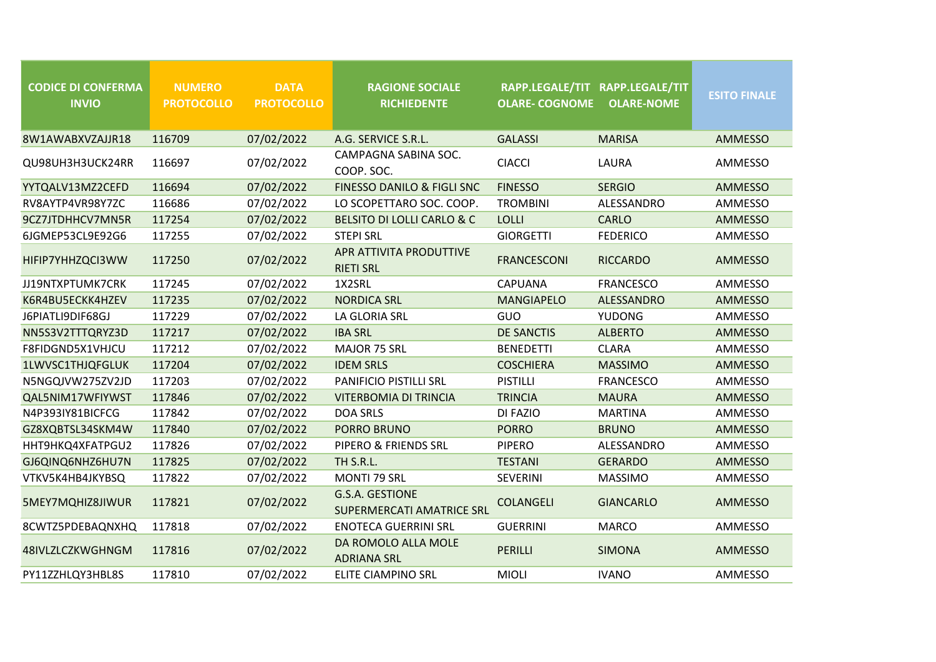| <b>CODICE DI CONFERMA</b><br><b>INVIO</b> | <b>NUMERO</b><br><b>PROTOCOLLO</b> | <b>DATA</b><br><b>PROTOCOLLO</b> | <b>RAGIONE SOCIALE</b><br><b>RICHIEDENTE</b>        | RAPP.LEGALE/TIT RAPP.LEGALE/TIT<br><b>OLARE- COGNOME</b> | <b>OLARE-NOME</b> | <b>ESITO FINALE</b> |
|-------------------------------------------|------------------------------------|----------------------------------|-----------------------------------------------------|----------------------------------------------------------|-------------------|---------------------|
| 8W1AWABXVZAJJR18                          | 116709                             | 07/02/2022                       | A.G. SERVICE S.R.L.                                 | <b>GALASSI</b>                                           | <b>MARISA</b>     | <b>AMMESSO</b>      |
| QU98UH3H3UCK24RR                          | 116697                             | 07/02/2022                       | CAMPAGNA SABINA SOC.<br>COOP. SOC.                  | <b>CIACCI</b>                                            | LAURA             | AMMESSO             |
| YYTQALV13MZ2CEFD                          | 116694                             | 07/02/2022                       | FINESSO DANILO & FIGLI SNC                          | <b>FINESSO</b>                                           | <b>SERGIO</b>     | <b>AMMESSO</b>      |
| RV8AYTP4VR98Y7ZC                          | 116686                             | 07/02/2022                       | LO SCOPETTARO SOC. COOP.                            | <b>TROMBINI</b>                                          | ALESSANDRO        | AMMESSO             |
| 9CZ7JTDHHCV7MN5R                          | 117254                             | 07/02/2022                       | BELSITO DI LOLLI CARLO & C                          | LOLLI                                                    | <b>CARLO</b>      | <b>AMMESSO</b>      |
| 6JGMEP53CL9E92G6                          | 117255                             | 07/02/2022                       | <b>STEPI SRL</b>                                    | <b>GIORGETTI</b>                                         | <b>FEDERICO</b>   | AMMESSO             |
| HIFIP7YHHZQCI3WW                          | 117250                             | 07/02/2022                       | APR ATTIVITA PRODUTTIVE<br><b>RIETI SRL</b>         | <b>FRANCESCONI</b>                                       | <b>RICCARDO</b>   | <b>AMMESSO</b>      |
| JJ19NTXPTUMK7CRK                          | 117245                             | 07/02/2022                       | 1X2SRL                                              | CAPUANA                                                  | <b>FRANCESCO</b>  | AMMESSO             |
| K6R4BU5ECKK4HZEV                          | 117235                             | 07/02/2022                       | <b>NORDICA SRL</b>                                  | <b>MANGIAPELO</b>                                        | ALESSANDRO        | <b>AMMESSO</b>      |
| J6PIATLI9DIF68GJ                          | 117229                             | 07/02/2022                       | LA GLORIA SRL                                       | GUO                                                      | <b>YUDONG</b>     | AMMESSO             |
| NN5S3V2TTTQRYZ3D                          | 117217                             | 07/02/2022                       | <b>IBA SRL</b>                                      | <b>DE SANCTIS</b>                                        | <b>ALBERTO</b>    | <b>AMMESSO</b>      |
| F8FIDGND5X1VHJCU                          | 117212                             | 07/02/2022                       | MAJOR 75 SRL                                        | <b>BENEDETTI</b>                                         | <b>CLARA</b>      | AMMESSO             |
| 1LWVSC1THJQFGLUK                          | 117204                             | 07/02/2022                       | <b>IDEM SRLS</b>                                    | <b>COSCHIERA</b>                                         | <b>MASSIMO</b>    | <b>AMMESSO</b>      |
| N5NGQJVW275ZV2JD                          | 117203                             | 07/02/2022                       | PANIFICIO PISTILLI SRL                              | <b>PISTILLI</b>                                          | <b>FRANCESCO</b>  | AMMESSO             |
| QAL5NIM17WFIYWST                          | 117846                             | 07/02/2022                       | <b>VITERBOMIA DI TRINCIA</b>                        | <b>TRINCIA</b>                                           | <b>MAURA</b>      | <b>AMMESSO</b>      |
| N4P393IY81BICFCG                          | 117842                             | 07/02/2022                       | <b>DOA SRLS</b>                                     | DI FAZIO                                                 | <b>MARTINA</b>    | AMMESSO             |
| GZ8XQBTSL34SKM4W                          | 117840                             | 07/02/2022                       | PORRO BRUNO                                         | <b>PORRO</b>                                             | <b>BRUNO</b>      | <b>AMMESSO</b>      |
| HHT9HKQ4XFATPGU2                          | 117826                             | 07/02/2022                       | PIPERO & FRIENDS SRL                                | <b>PIPERO</b>                                            | ALESSANDRO        | AMMESSO             |
| GJ6QINQ6NHZ6HU7N                          | 117825                             | 07/02/2022                       | TH S.R.L.                                           | <b>TESTANI</b>                                           | <b>GERARDO</b>    | <b>AMMESSO</b>      |
| VTKV5K4HB4JKYBSQ                          | 117822                             | 07/02/2022                       | <b>MONTI 79 SRL</b>                                 | <b>SEVERINI</b>                                          | <b>MASSIMO</b>    | AMMESSO             |
| 5MEY7MQHIZ8JIWUR                          | 117821                             | 07/02/2022                       | G.S.A. GESTIONE<br><b>SUPERMERCATI AMATRICE SRL</b> | <b>COLANGELI</b>                                         | <b>GIANCARLO</b>  | <b>AMMESSO</b>      |
| 8CWTZ5PDEBAQNXHQ                          | 117818                             | 07/02/2022                       | <b>ENOTECA GUERRINI SRL</b>                         | <b>GUERRINI</b>                                          | <b>MARCO</b>      | AMMESSO             |
| 48IVLZLCZKWGHNGM                          | 117816                             | 07/02/2022                       | DA ROMOLO ALLA MOLE<br><b>ADRIANA SRL</b>           | PERILLI                                                  | <b>SIMONA</b>     | <b>AMMESSO</b>      |
| PY11ZZHLQY3HBL8S                          | 117810                             | 07/02/2022                       | ELITE CIAMPINO SRL                                  | <b>MIOLI</b>                                             | <b>IVANO</b>      | AMMESSO             |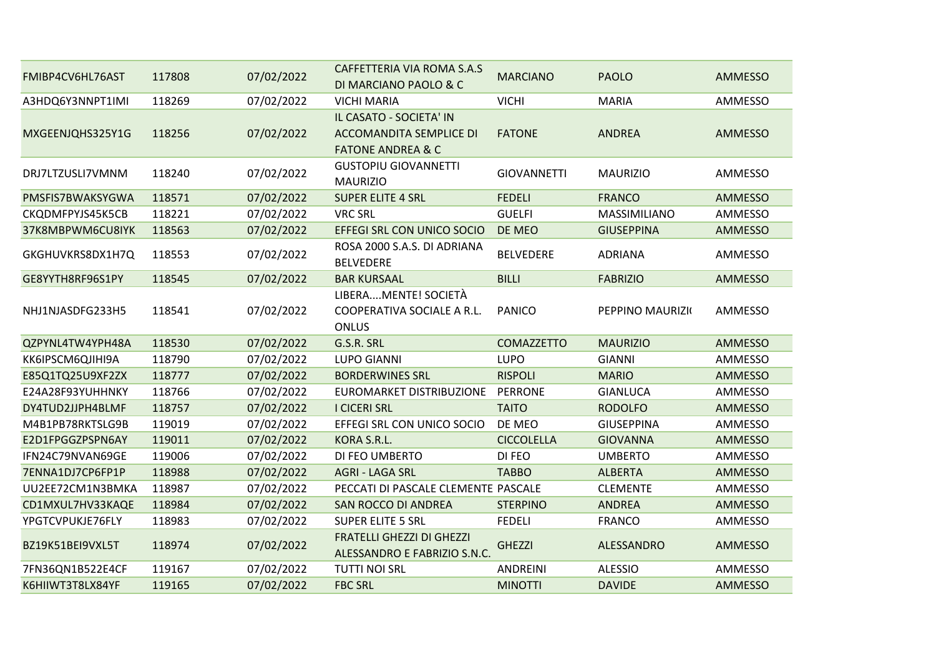| FMIBP4CV6HL76AST | 117808 | 07/02/2022 | CAFFETTERIA VIA ROMA S.A.S<br>DI MARCIANO PAOLO & C                                       | <b>MARCIANO</b>    | <b>PAOLO</b>      | <b>AMMESSO</b> |
|------------------|--------|------------|-------------------------------------------------------------------------------------------|--------------------|-------------------|----------------|
| A3HDQ6Y3NNPT1IMI | 118269 | 07/02/2022 | <b>VICHI MARIA</b>                                                                        | <b>VICHI</b>       | <b>MARIA</b>      | AMMESSO        |
| MXGEENJQHS325Y1G | 118256 | 07/02/2022 | IL CASATO - SOCIETA' IN<br><b>ACCOMANDITA SEMPLICE DI</b><br><b>FATONE ANDREA &amp; C</b> | <b>FATONE</b>      | <b>ANDREA</b>     | <b>AMMESSO</b> |
| DRJ7LTZUSLI7VMNM | 118240 | 07/02/2022 | <b>GUSTOPIU GIOVANNETTI</b><br><b>MAURIZIO</b>                                            | <b>GIOVANNETTI</b> | <b>MAURIZIO</b>   | AMMESSO        |
| PMSFIS7BWAKSYGWA | 118571 | 07/02/2022 | <b>SUPER ELITE 4 SRL</b>                                                                  | <b>FEDELI</b>      | <b>FRANCO</b>     | <b>AMMESSO</b> |
| CKQDMFPYJS45K5CB | 118221 | 07/02/2022 | <b>VRC SRL</b>                                                                            | <b>GUELFI</b>      | MASSIMILIANO      | AMMESSO        |
| 37K8MBPWM6CU8IYK | 118563 | 07/02/2022 | EFFEGI SRL CON UNICO SOCIO                                                                | DE MEO             | <b>GIUSEPPINA</b> | <b>AMMESSO</b> |
| GKGHUVKRS8DX1H7Q | 118553 | 07/02/2022 | ROSA 2000 S.A.S. DI ADRIANA<br><b>BELVEDERE</b>                                           | <b>BELVEDERE</b>   | <b>ADRIANA</b>    | AMMESSO        |
| GE8YYTH8RF96S1PY | 118545 | 07/02/2022 | <b>BAR KURSAAL</b>                                                                        | <b>BILLI</b>       | <b>FABRIZIO</b>   | <b>AMMESSO</b> |
| NHJ1NJASDFG233H5 | 118541 | 07/02/2022 | LIBERAMENTE! SOCIETÀ<br>COOPERATIVA SOCIALE A R.L.<br><b>ONLUS</b>                        | <b>PANICO</b>      | PEPPINO MAURIZK   | <b>AMMESSO</b> |
| QZPYNL4TW4YPH48A | 118530 | 07/02/2022 | G.S.R. SRL                                                                                | <b>COMAZZETTO</b>  | <b>MAURIZIO</b>   | <b>AMMESSO</b> |
| KK6IPSCM6QJIHI9A | 118790 | 07/02/2022 | <b>LUPO GIANNI</b>                                                                        | <b>LUPO</b>        | <b>GIANNI</b>     | AMMESSO        |
| E85Q1TQ25U9XF2ZX | 118777 | 07/02/2022 | <b>BORDERWINES SRL</b>                                                                    | <b>RISPOLI</b>     | <b>MARIO</b>      | <b>AMMESSO</b> |
| E24A28F93YUHHNKY | 118766 | 07/02/2022 | <b>EUROMARKET DISTRIBUZIONE</b>                                                           | <b>PERRONE</b>     | <b>GIANLUCA</b>   | AMMESSO        |
| DY4TUD2JJPH4BLMF | 118757 | 07/02/2022 | <b>I CICERI SRL</b>                                                                       | <b>TAITO</b>       | <b>RODOLFO</b>    | <b>AMMESSO</b> |
| M4B1PB78RKTSLG9B | 119019 | 07/02/2022 | EFFEGI SRL CON UNICO SOCIO                                                                | DE MEO             | <b>GIUSEPPINA</b> | AMMESSO        |
| E2D1FPGGZPSPN6AY | 119011 | 07/02/2022 | KORA S.R.L.                                                                               | <b>CICCOLELLA</b>  | <b>GIOVANNA</b>   | <b>AMMESSO</b> |
| IFN24C79NVAN69GE | 119006 | 07/02/2022 | DI FEO UMBERTO                                                                            | DI FEO             | <b>UMBERTO</b>    | AMMESSO        |
| 7ENNA1DJ7CP6FP1P | 118988 | 07/02/2022 | <b>AGRI - LAGA SRL</b>                                                                    | <b>TABBO</b>       | <b>ALBERTA</b>    | <b>AMMESSO</b> |
| UU2EE72CM1N3BMKA | 118987 | 07/02/2022 | PECCATI DI PASCALE CLEMENTE PASCALE                                                       |                    | <b>CLEMENTE</b>   | AMMESSO        |
| CD1MXUL7HV33KAQE | 118984 | 07/02/2022 | SAN ROCCO DI ANDREA                                                                       | <b>STERPINO</b>    | <b>ANDREA</b>     | <b>AMMESSO</b> |
| YPGTCVPUKJE76FLY | 118983 | 07/02/2022 | <b>SUPER ELITE 5 SRL</b>                                                                  | <b>FEDELI</b>      | <b>FRANCO</b>     | AMMESSO        |
| BZ19K51BEI9VXL5T | 118974 | 07/02/2022 | <b>FRATELLI GHEZZI DI GHEZZI</b><br>ALESSANDRO E FABRIZIO S.N.C.                          | <b>GHEZZI</b>      | ALESSANDRO        | <b>AMMESSO</b> |
| 7FN36QN1B522E4CF | 119167 | 07/02/2022 | <b>TUTTI NOI SRL</b>                                                                      | <b>ANDREINI</b>    | <b>ALESSIO</b>    | AMMESSO        |
| K6HIIWT3T8LX84YF | 119165 | 07/02/2022 | <b>FBC SRL</b>                                                                            | <b>MINOTTI</b>     | <b>DAVIDE</b>     | <b>AMMESSO</b> |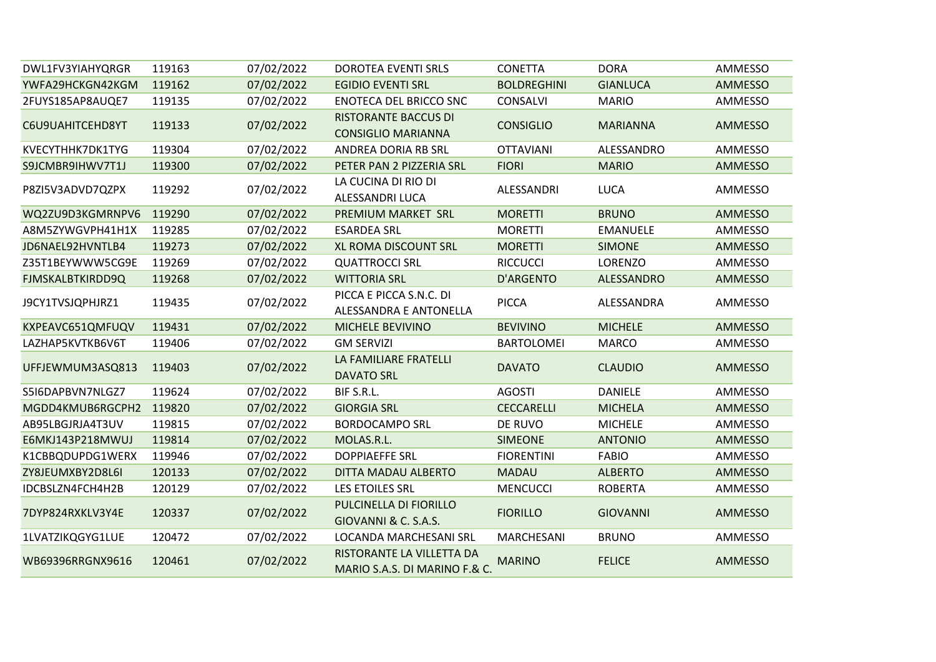| DWL1FV3YIAHYQRGR | 119163 | 07/02/2022 | <b>DOROTEA EVENTI SRLS</b>                                 | <b>CONETTA</b>     | <b>DORA</b>     | AMMESSO        |
|------------------|--------|------------|------------------------------------------------------------|--------------------|-----------------|----------------|
| YWFA29HCKGN42KGM | 119162 | 07/02/2022 | <b>EGIDIO EVENTI SRL</b>                                   | <b>BOLDREGHINI</b> | <b>GIANLUCA</b> | AMMESSO        |
| 2FUYS185AP8AUQE7 | 119135 | 07/02/2022 | <b>ENOTECA DEL BRICCO SNC</b>                              | <b>CONSALVI</b>    | <b>MARIO</b>    | AMMESSO        |
| C6U9UAHITCEHD8YT | 119133 | 07/02/2022 | <b>RISTORANTE BACCUS DI</b><br><b>CONSIGLIO MARIANNA</b>   | <b>CONSIGLIO</b>   | <b>MARIANNA</b> | AMMESSO        |
| KVECYTHHK7DK1TYG | 119304 | 07/02/2022 | ANDREA DORIA RB SRL                                        | <b>OTTAVIANI</b>   | ALESSANDRO      | AMMESSO        |
| S9JCMBR9IHWV7T1J | 119300 | 07/02/2022 | PETER PAN 2 PIZZERIA SRL                                   | <b>FIORI</b>       | <b>MARIO</b>    | AMMESSO        |
| P8ZI5V3ADVD7QZPX | 119292 | 07/02/2022 | LA CUCINA DI RIO DI<br>ALESSANDRI LUCA                     | ALESSANDRI         | <b>LUCA</b>     | AMMESSO        |
| WQ2ZU9D3KGMRNPV6 | 119290 | 07/02/2022 | PREMIUM MARKET SRL                                         | <b>MORETTI</b>     | <b>BRUNO</b>    | <b>AMMESSO</b> |
| A8M5ZYWGVPH41H1X | 119285 | 07/02/2022 | <b>ESARDEA SRL</b>                                         | <b>MORETTI</b>     | <b>EMANUELE</b> | AMMESSO        |
| JD6NAEL92HVNTLB4 | 119273 | 07/02/2022 | XL ROMA DISCOUNT SRL                                       | <b>MORETTI</b>     | <b>SIMONE</b>   | AMMESSO        |
| Z35T1BEYWWW5CG9E | 119269 | 07/02/2022 | <b>QUATTROCCI SRL</b>                                      | <b>RICCUCCI</b>    | <b>LORENZO</b>  | AMMESSO        |
| FJMSKALBTKIRDD9Q | 119268 | 07/02/2022 | <b>WITTORIA SRL</b>                                        | <b>D'ARGENTO</b>   | ALESSANDRO      | AMMESSO        |
| J9CY1TVSJQPHJRZ1 | 119435 | 07/02/2022 | PICCA E PICCA S.N.C. DI<br>ALESSANDRA E ANTONELLA          | <b>PICCA</b>       | ALESSANDRA      | AMMESSO        |
| KXPEAVC651QMFUQV | 119431 | 07/02/2022 | MICHELE BEVIVINO                                           | <b>BEVIVINO</b>    | <b>MICHELE</b>  | AMMESSO        |
| LAZHAP5KVTKB6V6T | 119406 | 07/02/2022 | <b>GM SERVIZI</b>                                          | <b>BARTOLOMEI</b>  | <b>MARCO</b>    | AMMESSO        |
| UFFJEWMUM3ASQ813 | 119403 | 07/02/2022 | LA FAMILIARE FRATELLI<br><b>DAVATO SRL</b>                 | <b>DAVATO</b>      | <b>CLAUDIO</b>  | AMMESSO        |
| S5I6DAPBVN7NLGZ7 | 119624 | 07/02/2022 | BIF S.R.L.                                                 | <b>AGOSTI</b>      | <b>DANIELE</b>  | AMMESSO        |
| MGDD4KMUB6RGCPH2 | 119820 | 07/02/2022 | <b>GIORGIA SRL</b>                                         | <b>CECCARELLI</b>  | <b>MICHELA</b>  | AMMESSO        |
| AB95LBGJRJA4T3UV | 119815 | 07/02/2022 | <b>BORDOCAMPO SRL</b>                                      | DE RUVO            | <b>MICHELE</b>  | AMMESSO        |
| E6MKJ143P218MWUJ | 119814 | 07/02/2022 | MOLAS.R.L.                                                 | <b>SIMEONE</b>     | <b>ANTONIO</b>  | AMMESSO        |
| K1CBBQDUPDG1WERX | 119946 | 07/02/2022 | <b>DOPPIAEFFE SRL</b>                                      | <b>FIORENTINI</b>  | <b>FABIO</b>    | AMMESSO        |
| ZY8JEUMXBY2D8L6I | 120133 | 07/02/2022 | DITTA MADAU ALBERTO                                        | <b>MADAU</b>       | <b>ALBERTO</b>  | AMMESSO        |
| IDCBSLZN4FCH4H2B | 120129 | 07/02/2022 | LES ETOILES SRL                                            | <b>MENCUCCI</b>    | <b>ROBERTA</b>  | AMMESSO        |
| 7DYP824RXKLV3Y4E | 120337 | 07/02/2022 | PULCINELLA DI FIORILLO<br>GIOVANNI & C. S.A.S.             | <b>FIORILLO</b>    | <b>GIOVANNI</b> | AMMESSO        |
| 1LVATZIKQGYG1LUE | 120472 | 07/02/2022 | LOCANDA MARCHESANI SRL                                     | MARCHESANI         | <b>BRUNO</b>    | AMMESSO        |
| WB69396RRGNX9616 | 120461 | 07/02/2022 | RISTORANTE LA VILLETTA DA<br>MARIO S.A.S. DI MARINO F.& C. | <b>MARINO</b>      | <b>FELICE</b>   | <b>AMMESSO</b> |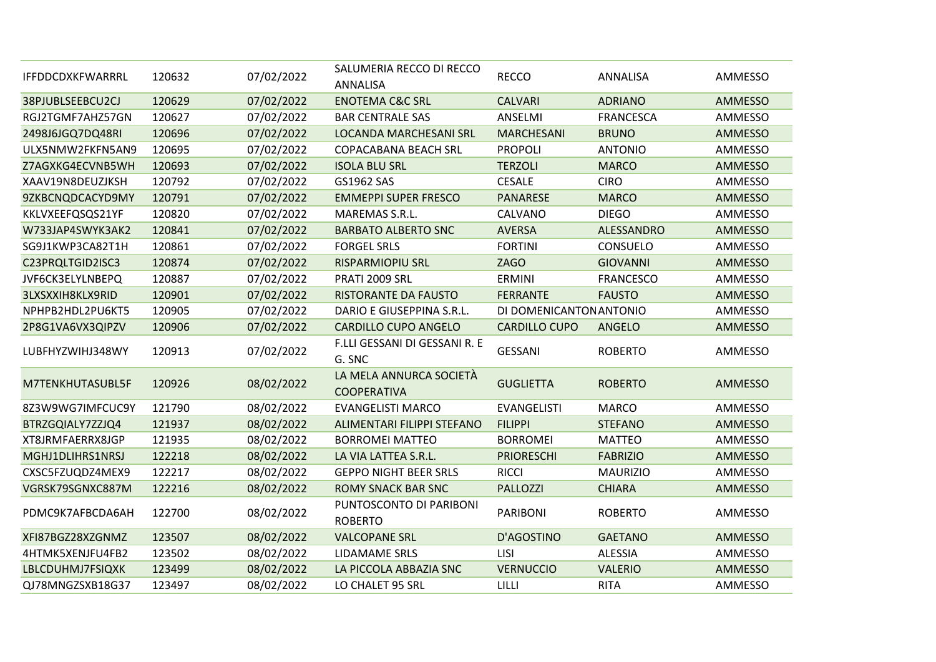| IFFDDCDXKFWARRRL | 120632 | 07/02/2022 | SALUMERIA RECCO DI RECCO                      | <b>RECCO</b>            | ANNALISA         | <b>AMMESSO</b> |
|------------------|--------|------------|-----------------------------------------------|-------------------------|------------------|----------------|
|                  |        |            | <b>ANNALISA</b>                               |                         |                  |                |
| 38PJUBLSEEBCU2CJ | 120629 | 07/02/2022 | <b>ENOTEMA C&amp;C SRL</b>                    | <b>CALVARI</b>          | <b>ADRIANO</b>   | <b>AMMESSO</b> |
| RGJ2TGMF7AHZ57GN | 120627 | 07/02/2022 | <b>BAR CENTRALE SAS</b>                       | ANSELMI                 | <b>FRANCESCA</b> | AMMESSO        |
| 2498J6JGQ7DQ48RI | 120696 | 07/02/2022 | LOCANDA MARCHESANI SRL                        | <b>MARCHESANI</b>       | <b>BRUNO</b>     | <b>AMMESSO</b> |
| ULX5NMW2FKFN5AN9 | 120695 | 07/02/2022 | <b>COPACABANA BEACH SRL</b>                   | <b>PROPOLI</b>          | <b>ANTONIO</b>   | AMMESSO        |
| Z7AGXKG4ECVNB5WH | 120693 | 07/02/2022 | <b>ISOLA BLU SRL</b>                          | <b>TERZOLI</b>          | <b>MARCO</b>     | AMMESSO        |
| XAAV19N8DEUZJKSH | 120792 | 07/02/2022 | GS1962 SAS                                    | <b>CESALE</b>           | <b>CIRO</b>      | AMMESSO        |
| 9ZKBCNQDCACYD9MY | 120791 | 07/02/2022 | <b>EMMEPPI SUPER FRESCO</b>                   | <b>PANARESE</b>         | <b>MARCO</b>     | <b>AMMESSO</b> |
| KKLVXEEFQSQS21YF | 120820 | 07/02/2022 | MAREMAS S.R.L.                                | CALVANO                 | <b>DIEGO</b>     | AMMESSO        |
| W733JAP4SWYK3AK2 | 120841 | 07/02/2022 | <b>BARBATO ALBERTO SNC</b>                    | <b>AVERSA</b>           | ALESSANDRO       | <b>AMMESSO</b> |
| SG9J1KWP3CA82T1H | 120861 | 07/02/2022 | <b>FORGEL SRLS</b>                            | <b>FORTINI</b>          | <b>CONSUELO</b>  | <b>AMMESSO</b> |
| C23PRQLTGID2ISC3 | 120874 | 07/02/2022 | <b>RISPARMIOPIU SRL</b>                       | <b>ZAGO</b>             | <b>GIOVANNI</b>  | AMMESSO        |
| JVF6CK3ELYLNBEPQ | 120887 | 07/02/2022 | PRATI 2009 SRL                                | <b>ERMINI</b>           | <b>FRANCESCO</b> | <b>AMMESSO</b> |
| 3LXSXXIH8KLX9RID | 120901 | 07/02/2022 | <b>RISTORANTE DA FAUSTO</b>                   | <b>FERRANTE</b>         | <b>FAUSTO</b>    | AMMESSO        |
| NPHPB2HDL2PU6KT5 | 120905 | 07/02/2022 | DARIO E GIUSEPPINA S.R.L.                     | DI DOMENICANTON ANTONIO |                  | <b>AMMESSO</b> |
| 2P8G1VA6VX3QIPZV | 120906 | 07/02/2022 | <b>CARDILLO CUPO ANGELO</b>                   | <b>CARDILLO CUPO</b>    | ANGELO           | AMMESSO        |
| LUBFHYZWIHJ348WY | 120913 | 07/02/2022 | F.LLI GESSANI DI GESSANI R. E<br>G. SNC       | <b>GESSANI</b>          | <b>ROBERTO</b>   | <b>AMMESSO</b> |
| M7TENKHUTASUBL5F | 120926 | 08/02/2022 | LA MELA ANNURCA SOCIETÀ<br><b>COOPERATIVA</b> | <b>GUGLIETTA</b>        | <b>ROBERTO</b>   | <b>AMMESSO</b> |
| 8Z3W9WG7IMFCUC9Y | 121790 | 08/02/2022 | <b>EVANGELISTI MARCO</b>                      | <b>EVANGELISTI</b>      | <b>MARCO</b>     | <b>AMMESSO</b> |
| BTRZGQIALY7ZZJQ4 | 121937 | 08/02/2022 | ALIMENTARI FILIPPI STEFANO                    | <b>FILIPPI</b>          | <b>STEFANO</b>   | <b>AMMESSO</b> |
| XT8JRMFAERRX8JGP | 121935 | 08/02/2022 | <b>BORROMEI MATTEO</b>                        | <b>BORROMEI</b>         | <b>MATTEO</b>    | AMMESSO        |
| MGHJ1DLIHRS1NRSJ | 122218 | 08/02/2022 | LA VIA LATTEA S.R.L.                          | <b>PRIORESCHI</b>       | <b>FABRIZIO</b>  | <b>AMMESSO</b> |
| CXSC5FZUQDZ4MEX9 | 122217 | 08/02/2022 | <b>GEPPO NIGHT BEER SRLS</b>                  | <b>RICCI</b>            | <b>MAURIZIO</b>  | AMMESSO        |
| VGRSK79SGNXC887M | 122216 | 08/02/2022 | <b>ROMY SNACK BAR SNC</b>                     | <b>PALLOZZI</b>         | <b>CHIARA</b>    | AMMESSO        |
| PDMC9K7AFBCDA6AH | 122700 | 08/02/2022 | PUNTOSCONTO DI PARIBONI<br><b>ROBERTO</b>     | <b>PARIBONI</b>         | <b>ROBERTO</b>   | <b>AMMESSO</b> |
| XFI87BGZ28XZGNMZ | 123507 | 08/02/2022 | <b>VALCOPANE SRL</b>                          | D'AGOSTINO              | <b>GAETANO</b>   | AMMESSO        |
| 4HTMK5XENJFU4FB2 | 123502 | 08/02/2022 | LIDAMAME SRLS                                 | LISI                    | <b>ALESSIA</b>   | AMMESSO        |
| LBLCDUHMJ7FSIQXK | 123499 | 08/02/2022 | LA PICCOLA ABBAZIA SNC                        | <b>VERNUCCIO</b>        | <b>VALERIO</b>   | <b>AMMESSO</b> |
| QJ78MNGZSXB18G37 | 123497 | 08/02/2022 | LO CHALET 95 SRL                              | LILLI                   | <b>RITA</b>      | AMMESSO        |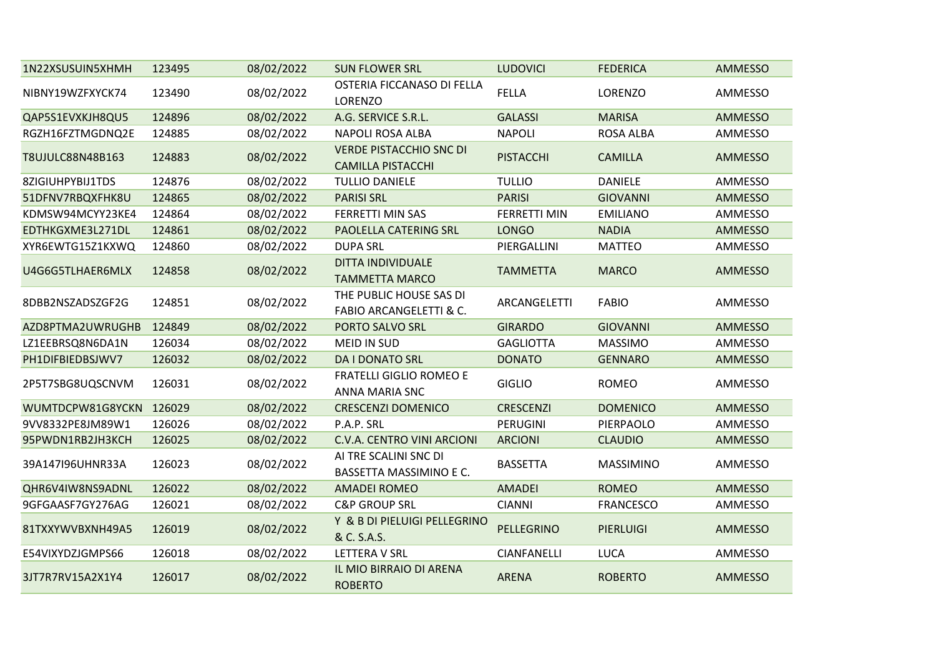| 1N22XSUSUIN5XHMH        | 123495 | 08/02/2022 | <b>SUN FLOWER SRL</b>                                      | <b>LUDOVICI</b>     | <b>FEDERICA</b>  | <b>AMMESSO</b> |
|-------------------------|--------|------------|------------------------------------------------------------|---------------------|------------------|----------------|
| NIBNY19WZFXYCK74        | 123490 | 08/02/2022 | OSTERIA FICCANASO DI FELLA<br>LORENZO                      | <b>FELLA</b>        | LORENZO          | AMMESSO        |
| QAP5S1EVXKJH8QU5        | 124896 | 08/02/2022 | A.G. SERVICE S.R.L.                                        | <b>GALASSI</b>      | <b>MARISA</b>    | <b>AMMESSO</b> |
| RGZH16FZTMGDNQ2E        | 124885 | 08/02/2022 | <b>NAPOLI ROSA ALBA</b>                                    | <b>NAPOLI</b>       | ROSA ALBA        | AMMESSO        |
| <b>T8UJULC88N48B163</b> | 124883 | 08/02/2022 | <b>VERDE PISTACCHIO SNC DI</b><br><b>CAMILLA PISTACCHI</b> | <b>PISTACCHI</b>    | <b>CAMILLA</b>   | AMMESSO        |
| 8ZIGIUHPYBIJ1TDS        | 124876 | 08/02/2022 | <b>TULLIO DANIELE</b>                                      | <b>TULLIO</b>       | <b>DANIELE</b>   | AMMESSO        |
| 51DFNV7RBQXFHK8U        | 124865 | 08/02/2022 | <b>PARISI SRL</b>                                          | <b>PARISI</b>       | <b>GIOVANNI</b>  | AMMESSO        |
| KDMSW94MCYY23KE4        | 124864 | 08/02/2022 | FERRETTI MIN SAS                                           | <b>FERRETTI MIN</b> | <b>EMILIANO</b>  | AMMESSO        |
| EDTHKGXME3L271DL        | 124861 | 08/02/2022 | PAOLELLA CATERING SRL                                      | <b>LONGO</b>        | <b>NADIA</b>     | AMMESSO        |
| XYR6EWTG15Z1KXWQ        | 124860 | 08/02/2022 | <b>DUPA SRL</b>                                            | PIERGALLINI         | <b>MATTEO</b>    | AMMESSO        |
| U4G6G5TLHAER6MLX        | 124858 | 08/02/2022 | <b>DITTA INDIVIDUALE</b><br><b>TAMMETTA MARCO</b>          | <b>TAMMETTA</b>     | <b>MARCO</b>     | AMMESSO        |
| 8DBB2NSZADSZGF2G        | 124851 | 08/02/2022 | THE PUBLIC HOUSE SAS DI<br>FABIO ARCANGELETTI & C.         | ARCANGELETTI        | <b>FABIO</b>     | AMMESSO        |
| AZD8PTMA2UWRUGHB        | 124849 | 08/02/2022 | PORTO SALVO SRL                                            | <b>GIRARDO</b>      | <b>GIOVANNI</b>  | AMMESSO        |
| LZ1EEBRSQ8N6DA1N        | 126034 | 08/02/2022 | <b>MEID IN SUD</b>                                         | <b>GAGLIOTTA</b>    | <b>MASSIMO</b>   | AMMESSO        |
| PH1DIFBIEDBSJWV7        | 126032 | 08/02/2022 | <b>DA I DONATO SRL</b>                                     | <b>DONATO</b>       | <b>GENNARO</b>   | AMMESSO        |
| 2P5T7SBG8UQSCNVM        | 126031 | 08/02/2022 | <b>FRATELLI GIGLIO ROMEO E</b><br>ANNA MARIA SNC           | <b>GIGLIO</b>       | <b>ROMEO</b>     | AMMESSO        |
| WUMTDCPW81G8YCKN        | 126029 | 08/02/2022 | <b>CRESCENZI DOMENICO</b>                                  | <b>CRESCENZI</b>    | <b>DOMENICO</b>  | AMMESSO        |
| 9VV8332PE8JM89W1        | 126026 | 08/02/2022 | P.A.P. SRL                                                 | PERUGINI            | PIERPAOLO        | AMMESSO        |
| 95PWDN1RB2JH3KCH        | 126025 | 08/02/2022 | C.V.A. CENTRO VINI ARCIONI                                 | <b>ARCIONI</b>      | <b>CLAUDIO</b>   | AMMESSO        |
| 39A147I96UHNR33A        | 126023 | 08/02/2022 | AI TRE SCALINI SNC DI<br>BASSETTA MASSIMINO E C.           | <b>BASSETTA</b>     | <b>MASSIMINO</b> | AMMESSO        |
| QHR6V4IW8NS9ADNL        | 126022 | 08/02/2022 | <b>AMADEI ROMEO</b>                                        | <b>AMADEI</b>       | <b>ROMEO</b>     | AMMESSO        |
| 9GFGAASF7GY276AG        | 126021 | 08/02/2022 | <b>C&amp;P GROUP SRL</b>                                   | <b>CIANNI</b>       | <b>FRANCESCO</b> | AMMESSO        |
| 81TXXYWVBXNH49A5        | 126019 | 08/02/2022 | Y & B DI PIELUIGI PELLEGRINO<br>& C. S.A.S.                | PELLEGRINO          | <b>PIERLUIGI</b> | AMMESSO        |
| E54VIXYDZJGMPS66        | 126018 | 08/02/2022 | LETTERA V SRL                                              | <b>CIANFANELLI</b>  | <b>LUCA</b>      | AMMESSO        |
| 3JT7R7RV15A2X1Y4        | 126017 | 08/02/2022 | IL MIO BIRRAIO DI ARENA<br><b>ROBERTO</b>                  | <b>ARENA</b>        | <b>ROBERTO</b>   | <b>AMMESSO</b> |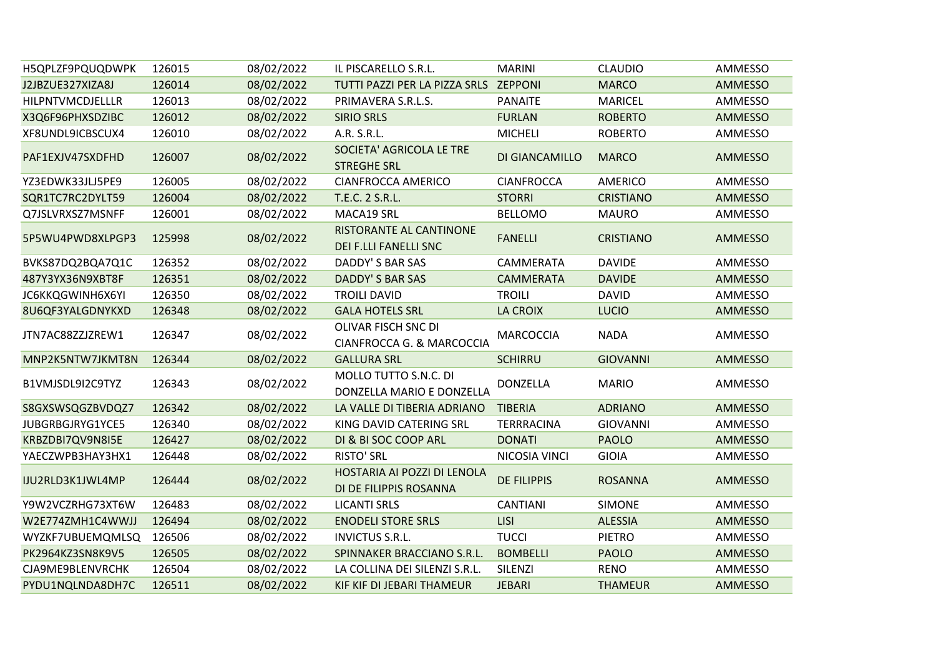| H5QPLZF9PQUQDWPK        | 126015 | 08/02/2022 | IL PISCARELLO S.R.L.                                    | <b>MARINI</b>      | <b>CLAUDIO</b>   | AMMESSO        |
|-------------------------|--------|------------|---------------------------------------------------------|--------------------|------------------|----------------|
| J2JBZUE327XIZA8J        | 126014 | 08/02/2022 | TUTTI PAZZI PER LA PIZZA SRLS ZEPPONI                   |                    | <b>MARCO</b>     | <b>AMMESSO</b> |
| HILPNTVMCDJELLLR        | 126013 | 08/02/2022 | PRIMAVERA S.R.L.S.                                      | <b>PANAITE</b>     | <b>MARICEL</b>   | AMMESSO        |
| X3Q6F96PHXSDZIBC        | 126012 | 08/02/2022 | <b>SIRIO SRLS</b>                                       | <b>FURLAN</b>      | <b>ROBERTO</b>   | AMMESSO        |
| XF8UNDL9ICBSCUX4        | 126010 | 08/02/2022 | A.R. S.R.L.                                             | <b>MICHELI</b>     | <b>ROBERTO</b>   | AMMESSO        |
| PAF1EXJV47SXDFHD        | 126007 | 08/02/2022 | SOCIETA' AGRICOLA LE TRE<br><b>STREGHE SRL</b>          | DI GIANCAMILLO     | <b>MARCO</b>     | <b>AMMESSO</b> |
| YZ3EDWK33JLJ5PE9        | 126005 | 08/02/2022 | <b>CIANFROCCA AMERICO</b>                               | <b>CIANFROCCA</b>  | <b>AMERICO</b>   | AMMESSO        |
| SQR1TC7RC2DYLT59        | 126004 | 08/02/2022 | T.E.C. 2 S.R.L.                                         | <b>STORRI</b>      | <b>CRISTIANO</b> | <b>AMMESSO</b> |
| Q7JSLVRXSZ7MSNFF        | 126001 | 08/02/2022 | MACA19 SRL                                              | <b>BELLOMO</b>     | <b>MAURO</b>     | AMMESSO        |
| 5P5WU4PWD8XLPGP3        | 125998 | 08/02/2022 | RISTORANTE AL CANTINONE<br><b>DEI F.LLI FANELLI SNC</b> | <b>FANELLI</b>     | <b>CRISTIANO</b> | <b>AMMESSO</b> |
| BVKS87DQ2BQA7Q1C        | 126352 | 08/02/2022 | DADDY'S BAR SAS                                         | CAMMERATA          | <b>DAVIDE</b>    | AMMESSO        |
| 487Y3YX36N9XBT8F        | 126351 | 08/02/2022 | DADDY'S BAR SAS                                         | <b>CAMMERATA</b>   | <b>DAVIDE</b>    | <b>AMMESSO</b> |
| <b>JC6KKQGWINH6X6YI</b> | 126350 | 08/02/2022 | <b>TROILI DAVID</b>                                     | <b>TROILI</b>      | <b>DAVID</b>     | AMMESSO        |
| 8U6QF3YALGDNYKXD        | 126348 | 08/02/2022 | <b>GALA HOTELS SRL</b>                                  | <b>LA CROIX</b>    | <b>LUCIO</b>     | AMMESSO        |
| JTN7AC88ZZJZREW1        | 126347 | 08/02/2022 | OLIVAR FISCH SNC DI<br>CIANFROCCA G. & MARCOCCIA        | <b>MARCOCCIA</b>   | <b>NADA</b>      | AMMESSO        |
| MNP2K5NTW7JKMT8N        | 126344 | 08/02/2022 | <b>GALLURA SRL</b>                                      | <b>SCHIRRU</b>     | <b>GIOVANNI</b>  | <b>AMMESSO</b> |
| B1VMJSDL9I2C9TYZ        | 126343 | 08/02/2022 | MOLLO TUTTO S.N.C. DI<br>DONZELLA MARIO E DONZELLA      | <b>DONZELLA</b>    | <b>MARIO</b>     | AMMESSO        |
| S8GXSWSQGZBVDQZ7        | 126342 | 08/02/2022 | LA VALLE DI TIBERIA ADRIANO                             | <b>TIBERIA</b>     | <b>ADRIANO</b>   | <b>AMMESSO</b> |
| JUBGRBGJRYG1YCE5        | 126340 | 08/02/2022 | KING DAVID CATERING SRL                                 | <b>TERRRACINA</b>  | <b>GIOVANNI</b>  | AMMESSO        |
| KRBZDBI7QV9N8I5E        | 126427 | 08/02/2022 | DI & BI SOC COOP ARL                                    | <b>DONATI</b>      | <b>PAOLO</b>     | <b>AMMESSO</b> |
| YAECZWPB3HAY3HX1        | 126448 | 08/02/2022 | <b>RISTO' SRL</b>                                       | NICOSIA VINCI      | <b>GIOIA</b>     | AMMESSO        |
| IJU2RLD3K1JWL4MP        | 126444 | 08/02/2022 | HOSTARIA AI POZZI DI LENOLA<br>DI DE FILIPPIS ROSANNA   | <b>DE FILIPPIS</b> | <b>ROSANNA</b>   | <b>AMMESSO</b> |
| Y9W2VCZRHG73XT6W        | 126483 | 08/02/2022 | <b>LICANTI SRLS</b>                                     | <b>CANTIANI</b>    | <b>SIMONE</b>    | AMMESSO        |
| W2E774ZMH1C4WWJJ        | 126494 | 08/02/2022 | <b>ENODELI STORE SRLS</b>                               | <b>LISI</b>        | <b>ALESSIA</b>   | <b>AMMESSO</b> |
| WYZKF7UBUEMQMLSQ        | 126506 | 08/02/2022 | <b>INVICTUS S.R.L.</b>                                  | <b>TUCCI</b>       | <b>PIETRO</b>    | AMMESSO        |
| PK2964KZ3SN8K9V5        | 126505 | 08/02/2022 | SPINNAKER BRACCIANO S.R.L.                              | <b>BOMBELLI</b>    | <b>PAOLO</b>     | AMMESSO        |
| CJA9ME9BLENVRCHK        | 126504 | 08/02/2022 | LA COLLINA DEI SILENZI S.R.L.                           | SILENZI            | <b>RENO</b>      | AMMESSO        |
| PYDU1NQLNDA8DH7C        | 126511 | 08/02/2022 | KIF KIF DI JEBARI THAMEUR                               | <b>JEBARI</b>      | <b>THAMEUR</b>   | <b>AMMESSO</b> |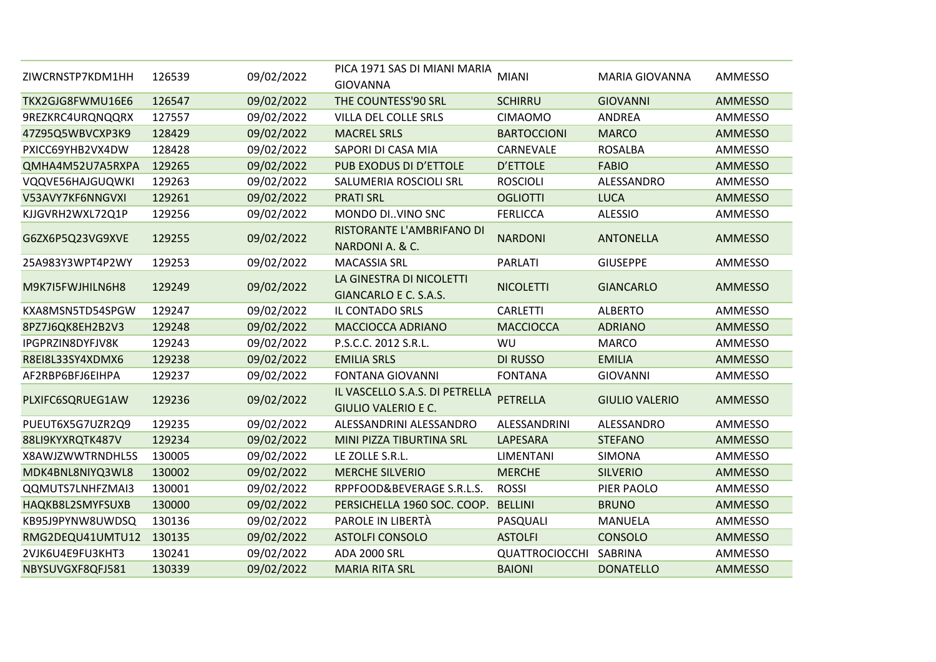| ZIWCRNSTP7KDM1HH | 126539 | 09/02/2022 | PICA 1971 SAS DI MIANI MARIA<br><b>GIOVANNA</b>              | <b>MIANI</b>          | <b>MARIA GIOVANNA</b> | AMMESSO        |
|------------------|--------|------------|--------------------------------------------------------------|-----------------------|-----------------------|----------------|
| TKX2GJG8FWMU16E6 | 126547 | 09/02/2022 | THE COUNTESS'90 SRL                                          | <b>SCHIRRU</b>        | <b>GIOVANNI</b>       | <b>AMMESSO</b> |
| 9REZKRC4URQNQQRX | 127557 | 09/02/2022 | VILLA DEL COLLE SRLS                                         | <b>CIMAOMO</b>        | ANDREA                | AMMESSO        |
| 47Z95Q5WBVCXP3K9 | 128429 | 09/02/2022 | <b>MACREL SRLS</b>                                           | <b>BARTOCCIONI</b>    | <b>MARCO</b>          | <b>AMMESSO</b> |
| PXICC69YHB2VX4DW | 128428 | 09/02/2022 | SAPORI DI CASA MIA                                           | CARNEVALE             | <b>ROSALBA</b>        | AMMESSO        |
| QMHA4M52U7A5RXPA | 129265 | 09/02/2022 | PUB EXODUS DI D'ETTOLE                                       | <b>D'ETTOLE</b>       | <b>FABIO</b>          | <b>AMMESSO</b> |
| VQQVE56HAJGUQWKI | 129263 | 09/02/2022 | SALUMERIA ROSCIOLI SRL                                       | <b>ROSCIOLI</b>       | ALESSANDRO            | AMMESSO        |
| V53AVY7KF6NNGVXI | 129261 | 09/02/2022 | <b>PRATI SRL</b>                                             | <b>OGLIOTTI</b>       | <b>LUCA</b>           | <b>AMMESSO</b> |
| KJJGVRH2WXL72Q1P | 129256 | 09/02/2022 | MONDO DI. VINO SNC                                           | <b>FERLICCA</b>       | <b>ALESSIO</b>        | AMMESSO        |
| G6ZX6P5Q23VG9XVE | 129255 | 09/02/2022 | RISTORANTE L'AMBRIFANO DI<br>NARDONI A. & C.                 | <b>NARDONI</b>        | <b>ANTONELLA</b>      | <b>AMMESSO</b> |
| 25A983Y3WPT4P2WY | 129253 | 09/02/2022 | <b>MACASSIA SRL</b>                                          | <b>PARLATI</b>        | <b>GIUSEPPE</b>       | AMMESSO        |
| M9K7I5FWJHILN6H8 | 129249 | 09/02/2022 | LA GINESTRA DI NICOLETTI<br>GIANCARLO E C. S.A.S.            | <b>NICOLETTI</b>      | <b>GIANCARLO</b>      | <b>AMMESSO</b> |
| KXA8MSN5TD54SPGW | 129247 | 09/02/2022 | IL CONTADO SRLS                                              | <b>CARLETTI</b>       | <b>ALBERTO</b>        | AMMESSO        |
| 8PZ7J6QK8EH2B2V3 | 129248 | 09/02/2022 | MACCIOCCA ADRIANO                                            | <b>MACCIOCCA</b>      | <b>ADRIANO</b>        | <b>AMMESSO</b> |
| IPGPRZIN8DYFJV8K | 129243 | 09/02/2022 | P.S.C.C. 2012 S.R.L.                                         | <b>WU</b>             | <b>MARCO</b>          | AMMESSO        |
| R8EI8L33SY4XDMX6 | 129238 | 09/02/2022 | <b>EMILIA SRLS</b>                                           | <b>DI RUSSO</b>       | <b>EMILIA</b>         | AMMESSO        |
| AF2RBP6BFJ6EIHPA | 129237 | 09/02/2022 | <b>FONTANA GIOVANNI</b>                                      | <b>FONTANA</b>        | <b>GIOVANNI</b>       | AMMESSO        |
| PLXIFC6SQRUEG1AW | 129236 | 09/02/2022 | IL VASCELLO S.A.S. DI PETRELLA<br><b>GIULIO VALERIO E C.</b> | PETRELLA              | <b>GIULIO VALERIO</b> | <b>AMMESSO</b> |
| PUEUT6X5G7UZR2Q9 | 129235 | 09/02/2022 | ALESSANDRINI ALESSANDRO                                      | ALESSANDRINI          | ALESSANDRO            | AMMESSO        |
| 88LI9KYXRQTK487V | 129234 | 09/02/2022 | MINI PIZZA TIBURTINA SRL                                     | LAPESARA              | <b>STEFANO</b>        | <b>AMMESSO</b> |
| X8AWJZWWTRNDHL5S | 130005 | 09/02/2022 | LE ZOLLE S.R.L.                                              | LIMENTANI             | <b>SIMONA</b>         | AMMESSO        |
| MDK4BNL8NIYQ3WL8 | 130002 | 09/02/2022 | <b>MERCHE SILVERIO</b>                                       | <b>MERCHE</b>         | <b>SILVERIO</b>       | <b>AMMESSO</b> |
| QQMUTS7LNHFZMAI3 | 130001 | 09/02/2022 | RPPFOOD&BEVERAGE S.R.L.S.                                    | <b>ROSSI</b>          | PIER PAOLO            | AMMESSO        |
| HAQKB8L2SMYFSUXB | 130000 | 09/02/2022 | PERSICHELLA 1960 SOC. COOP.                                  | <b>BELLINI</b>        | <b>BRUNO</b>          | <b>AMMESSO</b> |
| KB95J9PYNW8UWDSQ | 130136 | 09/02/2022 | PAROLE IN LIBERTÀ                                            | PASQUALI              | MANUELA               | AMMESSO        |
| RMG2DEQU41UMTU12 | 130135 | 09/02/2022 | <b>ASTOLFI CONSOLO</b>                                       | <b>ASTOLFI</b>        | <b>CONSOLO</b>        | <b>AMMESSO</b> |
| 2VJK6U4E9FU3KHT3 | 130241 | 09/02/2022 | <b>ADA 2000 SRL</b>                                          | <b>QUATTROCIOCCHI</b> | SABRINA               | AMMESSO        |
| NBYSUVGXF8QFJ581 | 130339 | 09/02/2022 | <b>MARIA RITA SRL</b>                                        | <b>BAIONI</b>         | <b>DONATELLO</b>      | <b>AMMESSO</b> |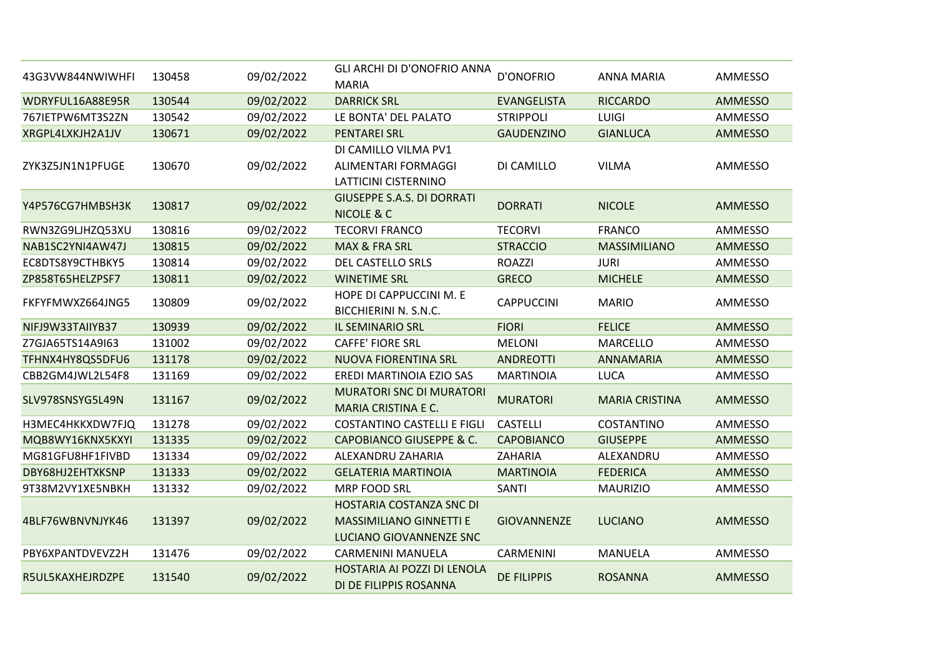| 43G3VW844NWIWHFI | 130458 | 09/02/2022 | GLI ARCHI DI D'ONOFRIO ANNA<br><b>MARIA</b>                                           | <b>D'ONOFRIO</b>   | <b>ANNA MARIA</b>     | AMMESSO        |
|------------------|--------|------------|---------------------------------------------------------------------------------------|--------------------|-----------------------|----------------|
| WDRYFUL16A88E95R | 130544 | 09/02/2022 | <b>DARRICK SRL</b>                                                                    | <b>EVANGELISTA</b> | <b>RICCARDO</b>       | <b>AMMESSO</b> |
| 767IETPW6MT3S2ZN | 130542 | 09/02/2022 | LE BONTA' DEL PALATO                                                                  | <b>STRIPPOLI</b>   | LUIGI                 | AMMESSO        |
| XRGPL4LXKJH2A1JV | 130671 | 09/02/2022 | <b>PENTAREI SRL</b>                                                                   | <b>GAUDENZINO</b>  | <b>GIANLUCA</b>       | AMMESSO        |
| ZYK3Z5JN1N1PFUGE | 130670 | 09/02/2022 | DI CAMILLO VILMA PV1<br>ALIMENTARI FORMAGGI<br>LATTICINI CISTERNINO                   | DI CAMILLO         | <b>VILMA</b>          | AMMESSO        |
| Y4P576CG7HMBSH3K | 130817 | 09/02/2022 | <b>GIUSEPPE S.A.S. DI DORRATI</b><br><b>NICOLE &amp; C</b>                            | <b>DORRATI</b>     | <b>NICOLE</b>         | AMMESSO        |
| RWN3ZG9LJHZQ53XU | 130816 | 09/02/2022 | <b>TECORVI FRANCO</b>                                                                 | <b>TECORVI</b>     | <b>FRANCO</b>         | AMMESSO        |
| NAB1SC2YNI4AW47J | 130815 | 09/02/2022 | MAX & FRA SRL                                                                         | <b>STRACCIO</b>    | <b>MASSIMILIANO</b>   | AMMESSO        |
| EC8DTS8Y9CTHBKY5 | 130814 | 09/02/2022 | DEL CASTELLO SRLS                                                                     | <b>ROAZZI</b>      | <b>JURI</b>           | AMMESSO        |
| ZP858T65HELZPSF7 | 130811 | 09/02/2022 | <b>WINETIME SRL</b>                                                                   | <b>GRECO</b>       | <b>MICHELE</b>        | AMMESSO        |
| FKFYFMWXZ664JNG5 | 130809 | 09/02/2022 | HOPE DI CAPPUCCINI M. E<br>BICCHIERINI N. S.N.C.                                      | <b>CAPPUCCINI</b>  | <b>MARIO</b>          | AMMESSO        |
| NIFJ9W33TAIIYB37 | 130939 | 09/02/2022 | IL SEMINARIO SRL                                                                      | <b>FIORI</b>       | <b>FELICE</b>         | <b>AMMESSO</b> |
| Z7GJA65TS14A9I63 | 131002 | 09/02/2022 | <b>CAFFE' FIORE SRL</b>                                                               | <b>MELONI</b>      | MARCELLO              | AMMESSO        |
| TFHNX4HY8QS5DFU6 | 131178 | 09/02/2022 | NUOVA FIORENTINA SRL                                                                  | <b>ANDREOTTI</b>   | ANNAMARIA             | AMMESSO        |
| CBB2GM4JWL2L54F8 | 131169 | 09/02/2022 | EREDI MARTINOIA EZIO SAS                                                              | <b>MARTINOIA</b>   | <b>LUCA</b>           | AMMESSO        |
| SLV978SNSYG5L49N | 131167 | 09/02/2022 | <b>MURATORI SNC DI MURATORI</b><br><b>MARIA CRISTINA E C.</b>                         | <b>MURATORI</b>    | <b>MARIA CRISTINA</b> | <b>AMMESSO</b> |
| H3MEC4HKKXDW7FJQ | 131278 | 09/02/2022 | <b>COSTANTINO CASTELLI E FIGLI</b>                                                    | <b>CASTELLI</b>    | COSTANTINO            | AMMESSO        |
| MQB8WY16KNX5KXYI | 131335 | 09/02/2022 | <b>CAPOBIANCO GIUSEPPE &amp; C.</b>                                                   | <b>CAPOBIANCO</b>  | <b>GIUSEPPE</b>       | AMMESSO        |
| MG81GFU8HF1FIVBD | 131334 | 09/02/2022 | ALEXANDRU ZAHARIA                                                                     | ZAHARIA            | ALEXANDRU             | AMMESSO        |
| DBY68HJ2EHTXKSNP | 131333 | 09/02/2022 | <b>GELATERIA MARTINOIA</b>                                                            | <b>MARTINOIA</b>   | <b>FEDERICA</b>       | AMMESSO        |
| 9T38M2VY1XE5NBKH | 131332 | 09/02/2022 | MRP FOOD SRL                                                                          | SANTI              | <b>MAURIZIO</b>       | AMMESSO        |
| 4BLF76WBNVNJYK46 | 131397 | 09/02/2022 | HOSTARIA COSTANZA SNC DI<br><b>MASSIMILIANO GINNETTI E</b><br>LUCIANO GIOVANNENZE SNC | <b>GIOVANNENZE</b> | <b>LUCIANO</b>        | AMMESSO        |
| PBY6XPANTDVEVZ2H | 131476 | 09/02/2022 | CARMENINI MANUELA                                                                     | CARMENINI          | <b>MANUELA</b>        | AMMESSO        |
| R5UL5KAXHEJRDZPE | 131540 | 09/02/2022 | HOSTARIA AI POZZI DI LENOLA<br>DI DE FILIPPIS ROSANNA                                 | <b>DE FILIPPIS</b> | <b>ROSANNA</b>        | AMMESSO        |